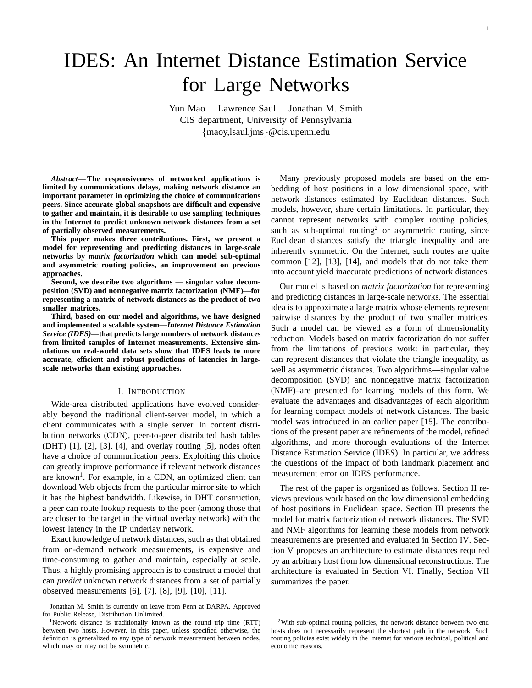# IDES: An Internet Distance Estimation Service for Large Networks

Yun Mao Lawrence Saul Jonathan M. Smith CIS department, University of Pennsylvania {maoy,lsaul,jms}@cis.upenn.edu

*Abstract***— The responsiveness of networked applications is limited by communications delays, making network distance an important parameter in optimizing the choice of communications peers. Since accurate global snapshots are difficult and expensive to gather and maintain, it is desirable to use sampling techniques in the Internet to predict unknown network distances from a set of partially observed measurements.**

**This paper makes three contributions. First, we present a model for representing and predicting distances in large-scale networks by** *matrix factorization* **which can model sub-optimal and asymmetric routing policies, an improvement on previous approaches.**

**Second, we describe two algorithms — singular value decomposition (SVD) and nonnegative matrix factorization (NMF)—for representing a matrix of network distances as the product of two smaller matrices.**

**Third, based on our model and algorithms, we have designed and implemented a scalable system—***Internet Distance Estimation Service (IDES)***—that predicts large numbers of network distances from limited samples of Internet measurements. Extensive simulations on real-world data sets show that IDES leads to more accurate, efficient and robust predictions of latencies in largescale networks than existing approaches.**

#### I. INTRODUCTION

Wide-area distributed applications have evolved considerably beyond the traditional client-server model, in which a client communicates with a single server. In content distribution networks (CDN), peer-to-peer distributed hash tables (DHT) [1], [2], [3], [4], and overlay routing [5], nodes often have a choice of communication peers. Exploiting this choice can greatly improve performance if relevant network distances are known<sup>1</sup>. For example, in a CDN, an optimized client can download Web objects from the particular mirror site to which it has the highest bandwidth. Likewise, in DHT construction, a peer can route lookup requests to the peer (among those that are closer to the target in the virtual overlay network) with the lowest latency in the IP underlay network.

Exact knowledge of network distances, such as that obtained from on-demand network measurements, is expensive and time-consuming to gather and maintain, especially at scale. Thus, a highly promising approach is to construct a model that can *predict* unknown network distances from a set of partially observed measurements [6], [7], [8], [9], [10], [11].

Many previously proposed models are based on the embedding of host positions in a low dimensional space, with network distances estimated by Euclidean distances. Such models, however, share certain limitations. In particular, they cannot represent networks with complex routing policies, such as sub-optimal routing<sup>2</sup> or asymmetric routing, since Euclidean distances satisfy the triangle inequality and are inherently symmetric. On the Internet, such routes are quite common [12], [13], [14], and models that do not take them into account yield inaccurate predictions of network distances.

Our model is based on *matrix factorization* for representing and predicting distances in large-scale networks. The essential idea is to approximate a large matrix whose elements represent pairwise distances by the product of two smaller matrices. Such a model can be viewed as a form of dimensionality reduction. Models based on matrix factorization do not suffer from the limitations of previous work: in particular, they can represent distances that violate the triangle inequality, as well as asymmetric distances. Two algorithms—singular value decomposition (SVD) and nonnegative matrix factorization (NMF)–are presented for learning models of this form. We evaluate the advantages and disadvantages of each algorithm for learning compact models of network distances. The basic model was introduced in an earlier paper [15]. The contributions of the present paper are refinements of the model, refined algorithms, and more thorough evaluations of the Internet Distance Estimation Service (IDES). In particular, we address the questions of the impact of both landmark placement and measurement error on IDES performance.

The rest of the paper is organized as follows. Section II reviews previous work based on the low dimensional embedding of host positions in Euclidean space. Section III presents the model for matrix factorization of network distances. The SVD and NMF algorithms for learning these models from network measurements are presented and evaluated in Section IV. Section V proposes an architecture to estimate distances required by an arbitrary host from low dimensional reconstructions. The architecture is evaluated in Section VI. Finally, Section VII summarizes the paper.

Jonathan M. Smith is currently on leave from Penn at DARPA. Approved for Public Release, Distribution Unlimited.

<sup>1</sup>Network distance is traditionally known as the round trip time (RTT) between two hosts. However, in this paper, unless specified otherwise, the definition is generalized to any type of network measurement between nodes, which may or may not be symmetric.

<sup>&</sup>lt;sup>2</sup>With sub-optimal routing policies, the network distance between two end hosts does not necessarily represent the shortest path in the network. Such routing policies exist widely in the Internet for various technical, political and economic reasons.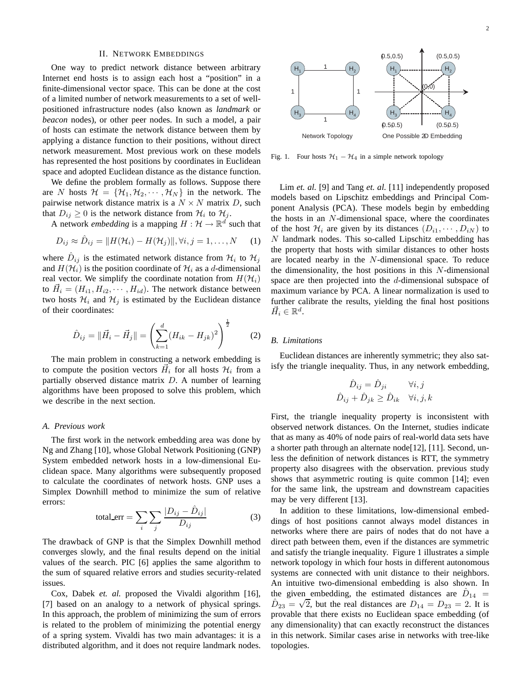#### II. NETWORK EMBEDDINGS

One way to predict network distance between arbitrary Internet end hosts is to assign each host a "position" in a finite-dimensional vector space. This can be done at the cost of a limited number of network measurements to a set of wellpositioned infrastructure nodes (also known as *landmark* or *beacon* nodes), or other peer nodes. In such a model, a pair of hosts can estimate the network distance between them by applying a distance function to their positions, without direct network measurement. Most previous work on these models has represented the host positions by coordinates in Euclidean space and adopted Euclidean distance as the distance function.

We define the problem formally as follows. Suppose there are N hosts  $\mathcal{H} = {\mathcal{H}_1, \mathcal{H}_2, \cdots, \mathcal{H}_N}$  in the network. The pairwise network distance matrix is a  $N \times N$  matrix D, such that  $D_{ij} \geq 0$  is the network distance from  $\mathcal{H}_i$  to  $\mathcal{H}_j$ .

A network *embedding* is a mapping  $H : \mathcal{H} \to \mathbb{R}^d$  such that

$$
D_{ij} \approx \hat{D}_{ij} = ||H(\mathcal{H}_i) - H(\mathcal{H}_j)||, \forall i, j = 1, ..., N
$$
 (1)

where  $\hat{D}_{ij}$  is the estimated network distance from  $\mathcal{H}_i$  to  $\mathcal{H}_j$ and  $H(\mathcal{H}_i)$  is the position coordinate of  $\mathcal{H}_i$  as a d-dimensional real vector. We simplify the coordinate notation from  $H(\mathcal{H}_i)$ to  $\vec{H}_i = (H_{i1}, H_{i2}, \cdots, H_{id})$ . The network distance between two hosts  $\mathcal{H}_i$  and  $\mathcal{H}_j$  is estimated by the Euclidean distance of their coordinates:

$$
\hat{D}_{ij} = \|\vec{H}_i - \vec{H}_j\| = \left(\sum_{k=1}^d (H_{ik} - H_{jk})^2\right)^{\frac{1}{2}} \tag{2}
$$

The main problem in constructing a network embedding is to compute the position vectors  $\vec{H}_i$  for all hosts  $\mathcal{H}_i$  from a partially observed distance matrix  $D$ . A number of learning algorithms have been proposed to solve this problem, which we describe in the next section.

## *A. Previous work*

The first work in the network embedding area was done by Ng and Zhang [10], whose Global Network Positioning (GNP) System embedded network hosts in a low-dimensional Euclidean space. Many algorithms were subsequently proposed to calculate the coordinates of network hosts. GNP uses a Simplex Downhill method to minimize the sum of relative errors:

total\_error = 
$$
\sum_{i} \sum_{j} \frac{|D_{ij} - \hat{D}_{ij}|}{D_{ij}}
$$
 (3)

The drawback of GNP is that the Simplex Downhill method converges slowly, and the final results depend on the initial values of the search. PIC [6] applies the same algorithm to the sum of squared relative errors and studies security-related issues.

Cox, Dabek *et. al.* proposed the Vivaldi algorithm [16], [7] based on an analogy to a network of physical springs. In this approach, the problem of minimizing the sum of errors is related to the problem of minimizing the potential energy of a spring system. Vivaldi has two main advantages: it is a distributed algorithm, and it does not require landmark nodes.



Fig. 1. Four hosts  $H_1 - H_4$  in a simple network topology

Lim *et. al.* [9] and Tang *et. al.* [11] independently proposed models based on Lipschitz embeddings and Principal Component Analysis (PCA). These models begin by embedding the hosts in an  $N$ -dimensional space, where the coordinates of the host  $\mathcal{H}_i$  are given by its distances  $(D_{i1}, \dots, D_{iN})$  to  $N$  landmark nodes. This so-called Lipschitz embedding has the property that hosts with similar distances to other hosts are located nearby in the N-dimensional space. To reduce the dimensionality, the host positions in this  $N$ -dimensional space are then projected into the d-dimensional subspace of maximum variance by PCA. A linear normalization is used to further calibrate the results, yielding the final host positions  $\vec{H}_i \in \mathbb{R}^d$ .

## *B. Limitations*

Euclidean distances are inherently symmetric; they also satisfy the triangle inequality. Thus, in any network embedding,

$$
\hat{D}_{ij} = \hat{D}_{ji} \qquad \forall i, j
$$

$$
\hat{D}_{ij} + \hat{D}_{jk} \ge \hat{D}_{ik} \quad \forall i, j, k
$$

First, the triangle inequality property is inconsistent with observed network distances. On the Internet, studies indicate that as many as 40% of node pairs of real-world data sets have a shorter path through an alternate node[12], [11]. Second, unless the definition of network distances is RTT, the symmetry property also disagrees with the observation. previous study shows that asymmetric routing is quite common [14]; even for the same link, the upstream and downstream capacities may be very different [13].

In addition to these limitations, low-dimensional embeddings of host positions cannot always model distances in networks where there are pairs of nodes that do not have a direct path between them, even if the distances are symmetric and satisfy the triangle inequality. Figure 1 illustrates a simple network topology in which four hosts in different autonomous systems are connected with unit distance to their neighbors. An intuitive two-dimensional embedding is also shown. In the given embedding, the estimated distances are  $\hat{D}_{14}$  =  $\hat{D}_{23} = \sqrt{2}$ , but the real distances are  $D_{14} = D_{23} = 2$ . It is provable that there exists no Euclidean space embedding (of any dimensionality) that can exactly reconstruct the distances in this network. Similar cases arise in networks with tree-like topologies.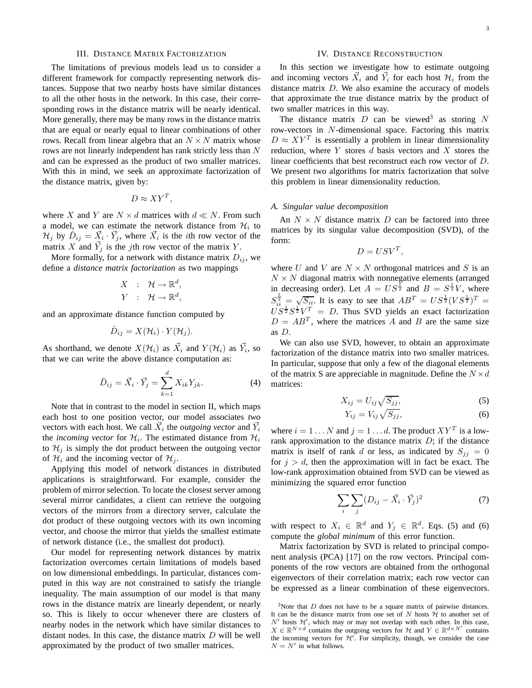## III. DISTANCE MATRIX FACTORIZATION

The limitations of previous models lead us to consider a different framework for compactly representing network distances. Suppose that two nearby hosts have similar distances to all the other hosts in the network. In this case, their corresponding rows in the distance matrix will be nearly identical. More generally, there may be many rows in the distance matrix that are equal or nearly equal to linear combinations of other rows. Recall from linear algebra that an  $N \times N$  matrix whose rows are not linearly independent has rank strictly less than N and can be expressed as the product of two smaller matrices. With this in mind, we seek an approximate factorization of the distance matrix, given by:

$$
D \approx XY^T,
$$

where X and Y are  $N \times d$  matrices with  $d \ll N$ . From such a model, we can estimate the network distance from  $\mathcal{H}_i$  to  $\mathcal{H}_j$  by  $\hat{D}_{ij} = \vec{X}_i \cdot \vec{Y}_j$ , where  $\vec{X}_i$  is the *i*th row vector of the matrix X and  $\vec{Y}_j$  is the jth row vector of the matrix Y.

More formally, for a network with distance matrix  $D_{ij}$ , we define a *distance matrix factorization* as two mappings

$$
X : \mathcal{H} \to \mathbb{R}^d,
$$
  

$$
Y : \mathcal{H} \to \mathbb{R}^d,
$$

and an approximate distance function computed by

$$
\hat{D}_{ij} = X(\mathcal{H}_i) \cdot Y(\mathcal{H}_j).
$$

As shorthand, we denote  $X(\mathcal{H}_i)$  as  $\vec{X}_i$  and  $Y(\mathcal{H}_i)$  as  $\vec{Y}_i$ , so that we can write the above distance computation as:

$$
\hat{D}_{ij} = \vec{X}_i \cdot \vec{Y}_j = \sum_{k=1}^d X_{ik} Y_{jk}.
$$
\n(4)

Note that in contrast to the model in section II, which maps each host to one position vector, our model associates *two* vectors with each host. We call  $\vec{X}_i$  the *outgoing vector* and  $\vec{Y}_i$ the *incoming vector* for  $\mathcal{H}_i$ . The estimated distance from  $\mathcal{H}_i$ to  $\mathcal{H}_j$  is simply the dot product between the outgoing vector of  $\mathcal{H}_i$  and the incoming vector of  $\mathcal{H}_j$ .

Applying this model of network distances in distributed applications is straightforward. For example, consider the problem of mirror selection. To locate the closest server among several mirror candidates, a client can retrieve the outgoing vectors of the mirrors from a directory server, calculate the dot product of these outgoing vectors with its own incoming vector, and choose the mirror that yields the smallest estimate of network distance (i.e., the smallest dot product).

Our model for representing network distances by matrix factorization overcomes certain limitations of models based on low dimensional embeddings. In particular, distances computed in this way are not constrained to satisfy the triangle inequality. The main assumption of our model is that many rows in the distance matrix are linearly dependent, or nearly so. This is likely to occur whenever there are clusters of nearby nodes in the network which have similar distances to distant nodes. In this case, the distance matrix  $D$  will be well approximated by the product of two smaller matrices.

## IV. DISTANCE RECONSTRUCTION

In this section we investigate how to estimate outgoing and incoming vectors  $\vec{X}_i$  and  $\vec{Y}_i$  for each host  $\mathcal{H}_i$  from the distance matrix D. We also examine the accuracy of models that approximate the true distance matrix by the product of two smaller matrices in this way.

The distance matrix  $D$  can be viewed<sup>3</sup> as storing N row-vectors in N-dimensional space. Factoring this matrix  $D \approx XY^T$  is essentially a problem in linear dimensionality reduction, where  $Y$  stores  $d$  basis vectors and  $X$  stores the linear coefficients that best reconstruct each row vector of D. We present two algorithms for matrix factorization that solve this problem in linear dimensionality reduction.

## *A. Singular value decomposition*

An  $N \times N$  distance matrix D can be factored into three matrices by its singular value decomposition (SVD), of the form:

$$
D = USV^T,
$$

where U and V are  $N \times N$  orthogonal matrices and S is an  $N \times N$  diagonal matrix with nonnegative elements (arranged in decreasing order). Let  $A = US^{\frac{1}{2}}$  and  $B = S^{\frac{1}{2}}V$ , where  $S_{ii}^{\frac{1}{2}} = \sqrt{S_{ii}}$ . It is easy to see that  $AB^T = US^{\frac{1}{2}}(VS^{\frac{1}{2}})^T =$  $U S^{\frac{1}{2}} S^{\frac{1}{2}} V^{\frac{1}{2}} = D$ . Thus SVD yields an exact factorization  $D = AB<sup>T</sup>$ , where the matrices A and B are the same size as D.

We can also use SVD, however, to obtain an approximate factorization of the distance matrix into two smaller matrices. In particular, suppose that only a few of the diagonal elements of the matrix S are appreciable in magnitude. Define the  $N \times d$ matrices:

$$
X_{ij} = U_{ij} \sqrt{S_{jj}},\tag{5}
$$

$$
Y_{ij} = V_{ij} \sqrt{S_{jj}},\tag{6}
$$

where  $i = 1...N$  and  $j = 1...d$ . The product  $XY<sup>T</sup>$  is a lowrank approximation to the distance matrix  $D$ ; if the distance matrix is itself of rank d or less, as indicated by  $S_{ij} = 0$ for  $j > d$ , then the approximation will in fact be exact. The low-rank approximation obtained from SVD can be viewed as minimizing the squared error function

$$
\sum_{i} \sum_{j} (D_{ij} - \vec{X}_i \cdot \vec{Y}_j)^2 \tag{7}
$$

with respect to  $X_i \in \mathbb{R}^d$  and  $Y_j \in \mathbb{R}^d$ . Eqs. (5) and (6) compute the *global minimum* of this error function.

Matrix factorization by SVD is related to principal component analysis (PCA) [17] on the row vectors. Principal components of the row vectors are obtained from the orthogonal eigenvectors of their correlation matrix; each row vector can be expressed as a linear combination of these eigenvectors.

 $3$ Note that  $D$  does not have to be a square matrix of pairwise distances. It can be the distance matrix from one set of  $N$  hosts  $H$  to another set of  $N'$  hosts  $H'$ , which may or may not overlap with each other. In this case,  $X \in \mathbb{R}^{N \times d}$  contains the outgoing vectors for H and  $Y \in \mathbb{R}^{d \times N'}$  contains the incoming vectors for  $\mathcal{H}'$ . For simplicity, though, we consider the case  $N = N'$  in what follows.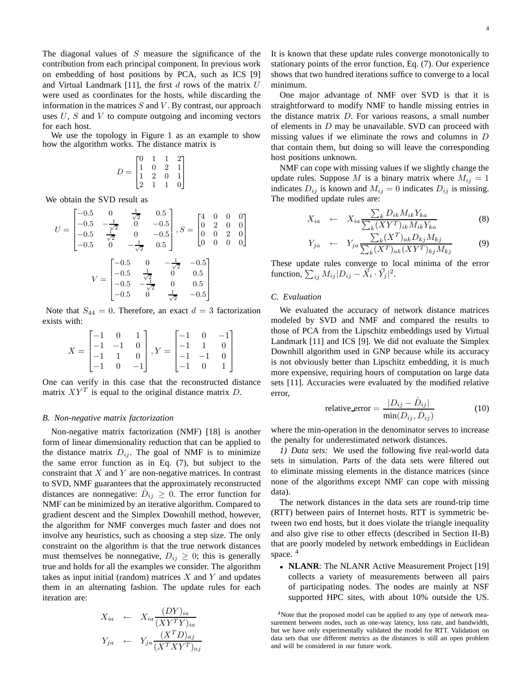The diagonal values of  $S$  measure the significance of the contribution from each principal component. In previous work on embedding of host positions by PCA, such as ICS [9] and Virtual Landmark [11], the first  $d$  rows of the matrix  $U$ were used as coordinates for the hosts, while discarding the information in the matrices  $S$  and  $V$ . By contrast, our approach uses  $U$ ,  $S$  and  $V$  to compute outgoing and incoming vectors for each host.

We use the topology in Figure 1 as an example to show how the algorithm works. The distance matrix is

$$
D = \begin{bmatrix} 0 & 1 & 1 & 2 \\ 1 & 0 & 2 & 1 \\ 1 & 2 & 0 & 1 \\ 2 & 1 & 1 & 0 \end{bmatrix}
$$

We obtain the SVD result as

$$
U = \begin{bmatrix} -0.5 & 0 & \frac{1}{\sqrt{2}} & 0.5 \\ -0.5 & -\frac{1}{\sqrt{2}} & 0 & -0.5 \\ -0.5 & \frac{1}{\sqrt{2}} & 0 & -0.5 \\ -0.5 & 0 & -\frac{1}{\sqrt{2}} & 0.5 \end{bmatrix}, S = \begin{bmatrix} 4 & 0 & 0 & 0 \\ 0 & 2 & 0 & 0 \\ 0 & 0 & 2 & 0 \\ 0 & 0 & 0 & 0 \end{bmatrix}
$$

$$
V = \begin{bmatrix} -0.5 & 0 & -\frac{1}{\sqrt{2}} & -0.5 \\ -0.5 & \frac{1}{\sqrt{2}} & 0 & 0.5 \\ -0.5 & 0 & \frac{1}{\sqrt{2}} & -0.5 \end{bmatrix}
$$

Note that  $S_{44} = 0$ . Therefore, an exact  $d = 3$  factorization exists with:

$$
X = \begin{bmatrix} -1 & 0 & 1 \\ -1 & -1 & 0 \\ -1 & 1 & 0 \\ -1 & 0 & -1 \end{bmatrix}, Y = \begin{bmatrix} -1 & 0 & -1 \\ -1 & 1 & 0 \\ -1 & -1 & 0 \\ -1 & 0 & 1 \end{bmatrix}
$$

One can verify in this case that the reconstructed distance matrix  $XY<sup>T</sup>$  is equal to the original distance matrix D.

## *B. Non-negative matrix factorization*

Non-negative matrix factorization (NMF) [18] is another form of linear dimensionality reduction that can be applied to the distance matrix  $D_{ij}$ . The goal of NMF is to minimize the same error function as in Eq. (7), but subject to the constraint that  $X$  and  $Y$  are non-negative matrices. In contrast to SVD, NMF guarantees that the approximately reconstructed distances are nonnegative:  $\hat{D}_{ij} \geq 0$ . The error function for NMF can be minimized by an iterative algorithm. Compared to gradient descent and the Simplex Downhill method, however, the algorithm for NMF converges much faster and does not involve any heuristics, such as choosing a step size. The only constraint on the algorithm is that the true network distances must themselves be nonnegative,  $D_{ij} \geq 0$ ; this is generally true and holds for all the examples we consider. The algorithm takes as input initial (random) matrices  $X$  and  $Y$  and updates them in an alternating fashion. The update rules for each iteration are:

$$
X_{ia} \leftarrow X_{ia} \frac{(DY)_{ia}}{(XY^T Y)_{ia}}
$$

$$
Y_{ja} \leftarrow Y_{ja} \frac{(X^T D)_{aj}}{(X^T XY^T)_{aj}}
$$

It is known that these update rules converge monotonically to stationary points of the error function, Eq. (7). Our experience shows that two hundred iterations suffice to converge to a local minimum.

One major advantage of NMF over SVD is that it is straightforward to modify NMF to handle missing entries in the distance matrix D. For various reasons, a small number of elements in  $D$  may be unavailable. SVD can proceed with missing values if we eliminate the rows and columns in D that contain them, but doing so will leave the corresponding host positions unknown.

NMF can cope with missing values if we slightly change the update rules. Suppose M is a binary matrix where  $M_{ij} = 1$ indicates  $D_{ij}$  is known and  $M_{ij} = 0$  indicates  $D_{ij}$  is missing. The modified update rules are:

$$
X_{ia} \leftarrow X_{ia} \frac{\sum_{k} D_{ik} M_{ik} Y_{ka}}{\sum_{k} (XY^{T})_{ik} M_{ik} Y_{ka}}
$$
(8)

$$
Y_{ja} \leftarrow Y_{ja} \frac{\sum_{k} (X^T)_{ak} D_{kj} M_{kj}}{\sum_{k} (X^T)_{ak} (XY^T)_{kj} M_{kj}} \tag{9}
$$

These update rules converge to local minima of the error function,  $\sum_{ij} M_{ij} |D_{ij} - \vec{X}_i \cdot \vec{Y}_j|^2$ .

## *C. Evaluation*

We evaluated the accuracy of network distance matrices modeled by SVD and NMF and compared the results to those of PCA from the Lipschitz embeddings used by Virtual Landmark [11] and ICS [9]. We did not evaluate the Simplex Downhill algorithm used in GNP because while its accuracy is not obviously better than Lipschitz embedding, it is much more expensive, requiring hours of computation on large data sets [11]. Accuracies were evaluated by the modified relative error,

relative\_error = 
$$
\frac{|D_{ij} - \hat{D}_{ij}|}{\min(D_{ij}, \hat{D}_{ij})}
$$
(10)

where the min-operation in the denominator serves to increase the penalty for underestimated network distances.

*1) Data sets:* We used the following five real-world data sets in simulation. Parts of the data sets were filtered out to eliminate missing elements in the distance matrices (since none of the algorithms except NMF can cope with missing data).

The network distances in the data sets are round-trip time (RTT) between pairs of Internet hosts. RTT is symmetric between two end hosts, but it does violate the triangle inequality and also give rise to other effects (described in Section II-B) that are poorly modeled by network embeddings in Euclidean space.<sup>4</sup>

• **NLANR**: The NLANR Active Measurement Project [19] collects a variety of measurements between all pairs of participating nodes. The nodes are mainly at NSF supported HPC sites, with about 10% outside the US.

<sup>&</sup>lt;sup>4</sup>Note that the proposed model can be applied to any type of network measurement between nodes, such as one-way latency, loss rate, and bandwidth, but we have only experimentally validated the model for RTT. Validation on data sets that use different metrics as the distances is still an open problem and will be considered in our future work.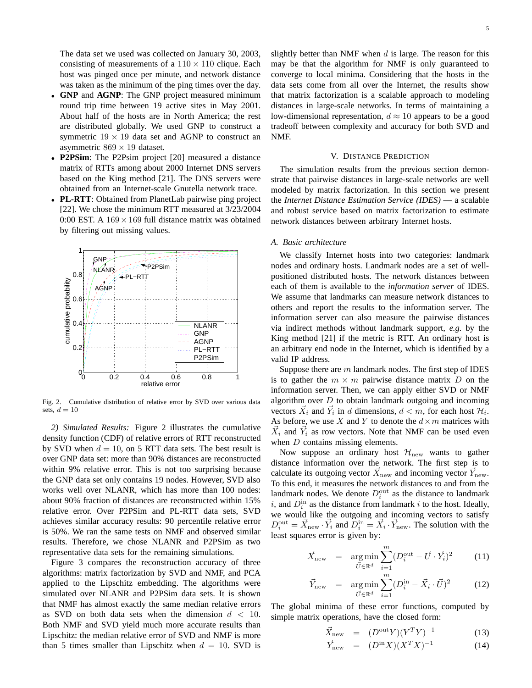The data set we used was collected on January 30, 2003, consisting of measurements of a  $110 \times 110$  clique. Each host was pinged once per minute, and network distance was taken as the minimum of the ping times over the day.

- **GNP** and **AGNP**: The GNP project measured minimum round trip time between 19 active sites in May 2001. About half of the hosts are in North America; the rest are distributed globally. We used GNP to construct a symmetric  $19 \times 19$  data set and AGNP to construct an asymmetric  $869 \times 19$  dataset.
- **P2PSim**: The P2Psim project [20] measured a distance matrix of RTTs among about 2000 Internet DNS servers based on the King method [21]. The DNS servers were obtained from an Internet-scale Gnutella network trace.
- **PL-RTT**: Obtained from PlanetLab pairwise ping project [22]. We chose the minimum RTT measured at 3/23/2004 0:00 EST. A  $169 \times 169$  full distance matrix was obtained by filtering out missing values.



Fig. 2. Cumulative distribution of relative error by SVD over various data sets,  $d = 10$ 

*2) Simulated Results:* Figure 2 illustrates the cumulative density function (CDF) of relative errors of RTT reconstructed by SVD when  $d = 10$ , on 5 RTT data sets. The best result is over GNP data set: more than 90% distances are reconstructed within 9% relative error. This is not too surprising because the GNP data set only contains 19 nodes. However, SVD also works well over NLANR, which has more than 100 nodes: about 90% fraction of distances are reconstructed within 15% relative error. Over P2PSim and PL-RTT data sets, SVD achieves similar accuracy results: 90 percentile relative error is 50%. We ran the same tests on NMF and observed similar results. Therefore, we chose NLANR and P2PSim as two representative data sets for the remaining simulations.

Figure 3 compares the reconstruction accuracy of three algorithms: matrix factorization by SVD and NMF, and PCA applied to the Lipschitz embedding. The algorithms were simulated over NLANR and P2PSim data sets. It is shown that NMF has almost exactly the same median relative errors as SVD on both data sets when the dimension  $d < 10$ . Both NMF and SVD yield much more accurate results than Lipschitz: the median relative error of SVD and NMF is more than 5 times smaller than Lipschitz when  $d = 10$ . SVD is slightly better than NMF when  $d$  is large. The reason for this may be that the algorithm for NMF is only guaranteed to converge to local minima. Considering that the hosts in the data sets come from all over the Internet, the results show that matrix factorization is a scalable approach to modeling distances in large-scale networks. In terms of maintaining a low-dimensional representation,  $d \approx 10$  appears to be a good tradeoff between complexity and accuracy for both SVD and NMF.

## V. DISTANCE PREDICTION

The simulation results from the previous section demonstrate that pairwise distances in large-scale networks are well modeled by matrix factorization. In this section we present the *Internet Distance Estimation Service (IDES)* — a scalable and robust service based on matrix factorization to estimate network distances between arbitrary Internet hosts.

## *A. Basic architecture*

X~

We classify Internet hosts into two categories: landmark nodes and ordinary hosts. Landmark nodes are a set of wellpositioned distributed hosts. The network distances between each of them is available to the *information server* of IDES. We assume that landmarks can measure network distances to others and report the results to the information server. The information server can also measure the pairwise distances via indirect methods without landmark support, *e.g.* by the King method [21] if the metric is RTT. An ordinary host is an arbitrary end node in the Internet, which is identified by a valid IP address.

Suppose there are  $m$  landmark nodes. The first step of IDES is to gather the  $m \times m$  pairwise distance matrix D on the information server. Then, we can apply either SVD or NMF algorithm over  $D$  to obtain landmark outgoing and incoming vectors  $\vec{X}_i$  and  $\vec{Y}_i$  in d dimensions,  $d < m$ , for each host  $\mathcal{H}_i$ . As before, we use X and Y to denote the  $d \times m$  matrices with  $\vec{X}_i$  and  $\vec{Y}_i$  as row vectors. Note that NMF can be used even when *D* contains missing elements.

Now suppose an ordinary host  $\mathcal{H}_{\text{new}}$  wants to gather distance information over the network. The first step is to calculate its outgoing vector  $\vec{X}_{\text{new}}$  and incoming vector  $\vec{Y}_{\text{new}}$ . To this end, it measures the network distances to and from the landmark nodes. We denote  $D_i^{\text{out}}$  as the distance to landmark i, and  $D_i^{\text{in}}$  as the distance from landmark i to the host. Ideally, we would like the outgoing and incoming vectors to satisfy  $D_i^{\text{out}} = \vec{X}_{\text{new}} \cdot \vec{Y}_i$  and  $D_i^{\text{in}} = \vec{X}_i \cdot \vec{Y}_{\text{new}}$ . The solution with the least squares error is given by:

$$
\vec{X}_{\text{new}} = \underset{\vec{U} \in \mathbb{R}^d}{\arg \min} \sum_{i=1}^m (D_i^{\text{out}} - \vec{U} \cdot \vec{Y}_i)^2 \tag{11}
$$

$$
\vec{Y}_{\text{new}} = \underset{\vec{U} \in \mathbb{R}^d}{\arg \min} \sum_{i=1}^m (\vec{D}_i^{\text{in}} - \vec{X}_i \cdot \vec{U})^2 \tag{12}
$$

The global minima of these error functions, computed by simple matrix operations, have the closed form:

$$
\vec{X}_{\text{new}} = (D^{\text{out}} Y)(Y^T Y)^{-1} \tag{13}
$$

$$
\vec{Y}_{\text{new}} = (D^{\text{in}} X)(X^T X)^{-1} \tag{14}
$$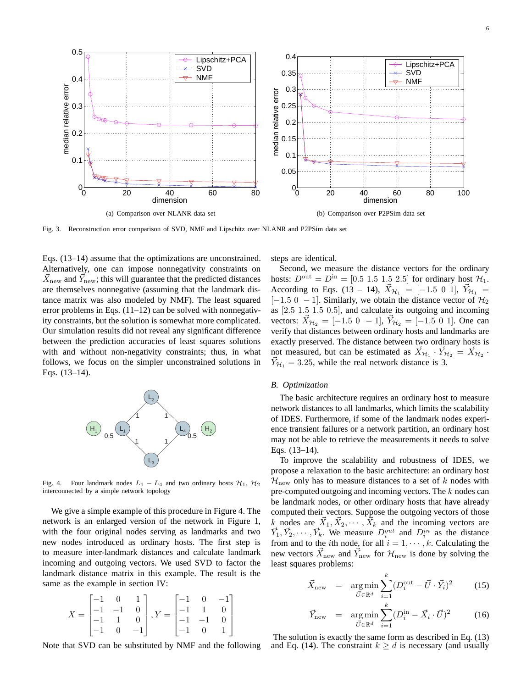

Fig. 3. Reconstruction error comparison of SVD, NMF and Lipschitz over NLANR and P2PSim data set

Eqs. (13–14) assume that the optimizations are unconstrained. Alternatively, one can impose nonnegativity constraints on  $\vec{X}_{\text{new}}$  and  $\vec{Y}_{\text{new}}$ ; this will guarantee that the predicted distances are themselves nonnegative (assuming that the landmark distance matrix was also modeled by NMF). The least squared error problems in Eqs. (11–12) can be solved with nonnegativity constraints, but the solution is somewhat more complicated. Our simulation results did not reveal any significant difference between the prediction accuracies of least squares solutions with and without non-negativity constraints; thus, in what follows, we focus on the simpler unconstrained solutions in Eqs. (13–14).



Fig. 4. Four landmark nodes  $L_1 - L_4$  and two ordinary hosts  $H_1$ ,  $H_2$ interconnected by a simple network topology

We give a simple example of this procedure in Figure 4. The network is an enlarged version of the network in Figure 1, with the four original nodes serving as landmarks and two new nodes introduced as ordinary hosts. The first step is to measure inter-landmark distances and calculate landmark incoming and outgoing vectors. We used SVD to factor the landmark distance matrix in this example. The result is the same as the example in section IV:

$$
X = \begin{bmatrix} -1 & 0 & 1 \\ -1 & -1 & 0 \\ -1 & 1 & 0 \\ -1 & 0 & -1 \end{bmatrix}, Y = \begin{bmatrix} -1 & 0 & -1 \\ -1 & 1 & 0 \\ -1 & -1 & 0 \\ -1 & 0 & 1 \end{bmatrix}
$$

Note that SVD can be substituted by NMF and the following

steps are identical.

Second, we measure the distance vectors for the ordinary hosts:  $D^{\text{out}} = D^{\text{in}} = [0.5 \ 1.5 \ 1.5 \ 2.5]$  for ordinary host  $\mathcal{H}_1$ . According to Eqs. (13 – 14),  $\vec{X}_{H_1} = [-1.5 \ 0 \ 1], \ \vec{Y}_{H_1} =$ [-1.5 0 - 1]. Similarly, we obtain the distance vector of  $\mathcal{H}_2$ as [2.5 1.5 1.5 0.5], and calculate its outgoing and incoming vectors:  $\vec{X}_{H_2} = [-1.5 \ 0 \ -1], \vec{Y}_{H_2} = [-1.5 \ 0 \ 1].$  One can verify that distances between ordinary hosts and landmarks are exactly preserved. The distance between two ordinary hosts is not measured, but can be estimated as  $\vec{X}_{H_1} \cdot \vec{Y}_{H_2} = \vec{X}_{H_2} \cdot \vec{Y}_{H_3}$  $\overrightarrow{Y}_{H_1} = 3.25$ , while the real network distance is 3.

## *B. Optimization*

The basic architecture requires an ordinary host to measure network distances to all landmarks, which limits the scalability of IDES. Furthermore, if some of the landmark nodes experience transient failures or a network partition, an ordinary host may not be able to retrieve the measurements it needs to solve Eqs. (13–14).

To improve the scalability and robustness of IDES, we propose a relaxation to the basic architecture: an ordinary host  $\mathcal{H}_{\text{new}}$  only has to measure distances to a set of k nodes with pre-computed outgoing and incoming vectors. The  $k$  nodes can be landmark nodes, or other ordinary hosts that have already computed their vectors. Suppose the outgoing vectors of those k nodes are  $\vec{X}_1, \vec{X}_2, \cdots, \vec{X}_k$  and the incoming vectors are  $\vec{Y}_1, \vec{Y}_2, \cdots, \vec{Y}_k$ . We measure  $D_i^{out}$  and  $D_i^{in}$  as the distance from and to the *i*th node, for all  $i = 1, \dots, k$ . Calculating the new vectors  $\vec{X}_{\text{new}}$  and  $\vec{Y}_{\text{new}}$  for  $\mathcal{H}_{\text{new}}$  is done by solving the least squares problems:

$$
\vec{X}_{\text{new}} = \underset{\vec{U} \in \mathbb{R}^d}{\arg \min} \sum_{i=1}^k (D_i^{\text{out}} - \vec{U} \cdot \vec{Y}_i)^2 \tag{15}
$$

$$
\vec{Y}_{\text{new}} = \underset{\vec{U} \in \mathbb{R}^d}{\arg \min} \sum_{i=1}^k (\vec{D}_i^{\text{in}} - \vec{X}_i \cdot \vec{U})^2 \tag{16}
$$

The solution is exactly the same form as described in Eq. (13) and Eq. (14). The constraint  $k \ge d$  is necessary (and usually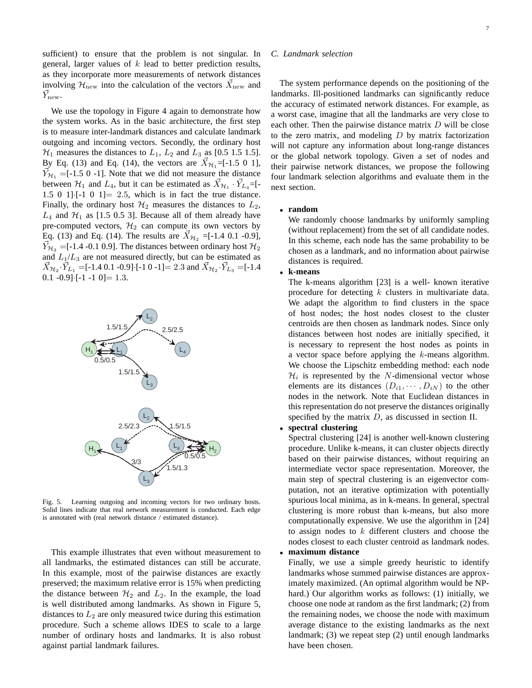sufficient) to ensure that the problem is not singular. In general, larger values of  $k$  lead to better prediction results, as they incorporate more measurements of network distances involving  $\mathcal{H}_{\text{new}}$  into the calculation of the vectors  $\vec{X}_{\text{new}}$  and  $\vec{Y}_{\text{new}}$ .

We use the topology in Figure 4 again to demonstrate how the system works. As in the basic architecture, the first step is to measure inter-landmark distances and calculate landmark outgoing and incoming vectors. Secondly, the ordinary host  $\mathcal{H}_1$  measures the distances to  $L_1$ ,  $L_2$  and  $L_3$  as [0.5 1.5 1.5]. By Eq. (13) and Eq. (14), the vectors are  $\bar{X}_{H_1}$ =[-1.5 0 1],  $\bar{Y}_{H_1}$  =[-1.5 0 -1]. Note that we did not measure the distance between  $\mathcal{H}_1$  and  $L_4$ , but it can be estimated as  $\vec{X}_{\mathcal{H}_1} \cdot \vec{Y}_{L_4}$ =[-1.5 0 1] $[-1 0 1] = 2.5$ , which is in fact the true distance. Finally, the ordinary host  $\mathcal{H}_2$  measures the distances to  $L_2$ ,  $L_4$  and  $H_1$  as [1.5 0.5 3]. Because all of them already have pre-computed vectors,  $H_2$  can compute its own vectors by Eq. (13) and Eq. (14). The results are  $X_{H_2} = [-1.4 \; 0.1 \; -0.9]$ ,  $\bar{Y}_{\mathcal{H}_2}$  =[-1.4 -0.1 0.9]. The distances between ordinary host  $\mathcal{H}_2$ and  $L_1/L_3$  are not measured directly, but can be estimated as  $\vec{X}_{\mathcal{H}_2} \cdot \vec{Y}_{L_1} = [-1.4 \, 0.1 \, -0.9] \cdot [-1 \, 0 \, -1] = 2.3$  and  $\vec{X}_{\mathcal{H}_2} \cdot \vec{Y}_{L_3} = [-1.4 \, 0.1 \, -0.9] \cdot [-1 \, 0 \, -1] = 2.3$  $0.1 - 0.9$ ] $\cdot$ [ $-1 - 1$  0] $= 1.3$ .



Fig. 5. Learning outgoing and incoming vectors for two ordinary hosts. Solid lines indicate that real network measurement is conducted. Each edge is annotated with (real network distance / estimated distance).

This example illustrates that even without measurement to all landmarks, the estimated distances can still be accurate. In this example, most of the pairwise distances are exactly preserved; the maximum relative error is 15% when predicting the distance between  $\mathcal{H}_2$  and  $L_2$ . In the example, the load is well distributed among landmarks. As shown in Figure 5, distances to  $L_2$  are only measured twice during this estimation procedure. Such a scheme allows IDES to scale to a large number of ordinary hosts and landmarks. It is also robust against partial landmark failures.

## *C. Landmark selection*

The system performance depends on the positioning of the landmarks. Ill-positioned landmarks can significantly reduce the accuracy of estimated network distances. For example, as a worst case, imagine that all the landmarks are very close to each other. Then the pairwise distance matrix  $D$  will be close to the zero matrix, and modeling  $D$  by matrix factorization will not capture any information about long-range distances or the global network topology. Given a set of nodes and their pairwise network distances, we propose the following four landmark selection algorithms and evaluate them in the next section.

## • **random**

We randomly choose landmarks by uniformly sampling (without replacement) from the set of all candidate nodes. In this scheme, each node has the same probability to be chosen as a landmark, and no information about pairwise distances is required.

# • **k-means**

The k-means algorithm [23] is a well- known iterative procedure for detecting k clusters in multivariate data. We adapt the algorithm to find clusters in the space of host nodes; the host nodes closest to the cluster centroids are then chosen as landmark nodes. Since only distances between host nodes are initially specified, it is necessary to represent the host nodes as points in a vector space before applying the k-means algorithm. We choose the Lipschitz embedding method: each node  $\mathcal{H}_i$  is represented by the N-dimensional vector whose elements are its distances  $(D_{i1}, \cdots, D_{iN})$  to the other nodes in the network. Note that Euclidean distances in this representation do not preserve the distances originally specified by the matrix  $D$ , as discussed in section II.

# spectral clustering

Spectral clustering [24] is another well-known clustering procedure. Unlike k-means, it can cluster objects directly based on their pairwise distances, without requiring an intermediate vector space representation. Moreover, the main step of spectral clustering is an eigenvector computation, not an iterative optimization with potentially spurious local minima, as in k-means. In general, spectral clustering is more robust than k-means, but also more computationally expensive. We use the algorithm in [24] to assign nodes to  $k$  different clusters and choose the nodes closest to each cluster centroid as landmark nodes.

## • **maximum distance**

Finally, we use a simple greedy heuristic to identify landmarks whose summed pairwise distances are approximately maximized. (An optimal algorithm would be NPhard.) Our algorithm works as follows: (1) initially, we choose one node at random as the first landmark; (2) from the remaining nodes, we choose the node with maximum average distance to the existing landmarks as the next landmark; (3) we repeat step (2) until enough landmarks have been chosen.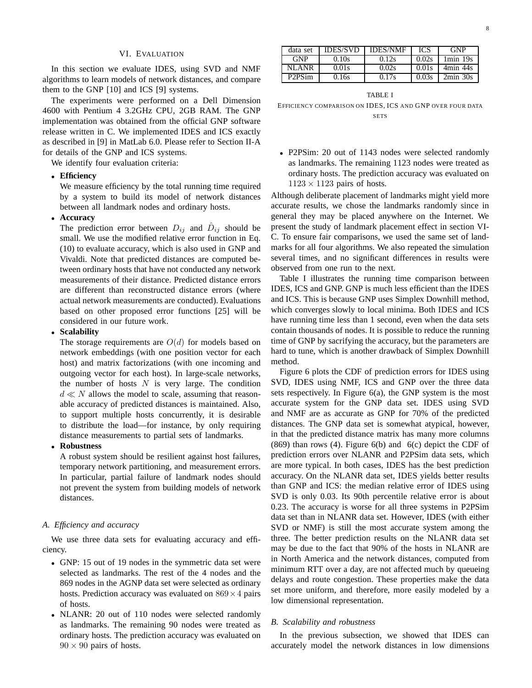# VI. EVALUATION

In this section we evaluate IDES, using SVD and NMF algorithms to learn models of network distances, and compare them to the GNP [10] and ICS [9] systems.

The experiments were performed on a Dell Dimension 4600 with Pentium 4 3.2GHz CPU, 2GB RAM. The GNP implementation was obtained from the official GNP software release written in C. We implemented IDES and ICS exactly as described in [9] in MatLab 6.0. Please refer to Section II-A for details of the GNP and ICS systems.

We identify four evaluation criteria:

• **Efficiency**

We measure efficiency by the total running time required by a system to build its model of network distances between all landmark nodes and ordinary hosts.

## • **Accuracy**

The prediction error between  $D_{ij}$  and  $\hat{D}_{ij}$  should be small. We use the modified relative error function in Eq. (10) to evaluate accuracy, which is also used in GNP and Vivaldi. Note that predicted distances are computed between ordinary hosts that have not conducted any network measurements of their distance. Predicted distance errors are different than reconstructed distance errors (where actual network measurements are conducted). Evaluations based on other proposed error functions [25] will be considered in our future work.

## • **Scalability**

The storage requirements are  $O(d)$  for models based on network embeddings (with one position vector for each host) and matrix factorizations (with one incoming and outgoing vector for each host). In large-scale networks, the number of hosts  $N$  is very large. The condition  $d \ll N$  allows the model to scale, assuming that reasonable accuracy of predicted distances is maintained. Also, to support multiple hosts concurrently, it is desirable to distribute the load—for instance, by only requiring distance measurements to partial sets of landmarks.

## • **Robustness**

A robust system should be resilient against host failures, temporary network partitioning, and measurement errors. In particular, partial failure of landmark nodes should not prevent the system from building models of network distances.

## *A. Efficiency and accuracy*

We use three data sets for evaluating accuracy and efficiency.

- GNP: 15 out of 19 nodes in the symmetric data set were selected as landmarks. The rest of the 4 nodes and the 869 nodes in the AGNP data set were selected as ordinary hosts. Prediction accuracy was evaluated on  $869 \times 4$  pairs of hosts.
- NLANR: 20 out of 110 nodes were selected randomly as landmarks. The remaining 90 nodes were treated as ordinary hosts. The prediction accuracy was evaluated on  $90 \times 90$  pairs of hosts.

| data set                        | <b>IDES/SVD</b> | <b>IDES/NMF</b> | <b>ICS</b> | <b>GNP</b> |
|---------------------------------|-----------------|-----------------|------------|------------|
| <b>GNP</b>                      | 0.10s           | 0.12s           | 0.02s      | 1min 19s   |
| NLANR                           | 0.01s           | 0.02s           | 0.01s      | $4min$ 44s |
| P <sub>2</sub> PS <sub>im</sub> | 0.16s           | 0.17s           | 0.03s      | $2min$ 30s |

TABLE I

EFFICIENCY COMPARISON ON IDES, ICS AND GNP OVER FOUR DATA **SETS** 

• P2PSim: 20 out of 1143 nodes were selected randomly as landmarks. The remaining 1123 nodes were treated as ordinary hosts. The prediction accuracy was evaluated on  $1123 \times 1123$  pairs of hosts.

Although deliberate placement of landmarks might yield more accurate results, we chose the landmarks randomly since in general they may be placed anywhere on the Internet. We present the study of landmark placement effect in section VI-C. To ensure fair comparisons, we used the same set of landmarks for all four algorithms. We also repeated the simulation several times, and no significant differences in results were observed from one run to the next.

Table I illustrates the running time comparison between IDES, ICS and GNP. GNP is much less efficient than the IDES and ICS. This is because GNP uses Simplex Downhill method, which converges slowly to local minima. Both IDES and ICS have running time less than 1 second, even when the data sets contain thousands of nodes. It is possible to reduce the running time of GNP by sacrifying the accuracy, but the parameters are hard to tune, which is another drawback of Simplex Downhill method.

Figure 6 plots the CDF of prediction errors for IDES using SVD, IDES using NMF, ICS and GNP over the three data sets respectively. In Figure 6(a), the GNP system is the most accurate system for the GNP data set. IDES using SVD and NMF are as accurate as GNP for 70% of the predicted distances. The GNP data set is somewhat atypical, however, in that the predicted distance matrix has many more columns  $(869)$  than rows (4). Figure  $6(b)$  and  $6(c)$  depict the CDF of prediction errors over NLANR and P2PSim data sets, which are more typical. In both cases, IDES has the best prediction accuracy. On the NLANR data set, IDES yields better results than GNP and ICS: the median relative error of IDES using SVD is only 0.03. Its 90th percentile relative error is about 0.23. The accuracy is worse for all three systems in P2PSim data set than in NLANR data set. However, IDES (with either SVD or NMF) is still the most accurate system among the three. The better prediction results on the NLANR data set may be due to the fact that 90% of the hosts in NLANR are in North America and the network distances, computed from minimum RTT over a day, are not affected much by queueing delays and route congestion. These properties make the data set more uniform, and therefore, more easily modeled by a low dimensional representation.

## *B. Scalability and robustness*

In the previous subsection, we showed that IDES can accurately model the network distances in low dimensions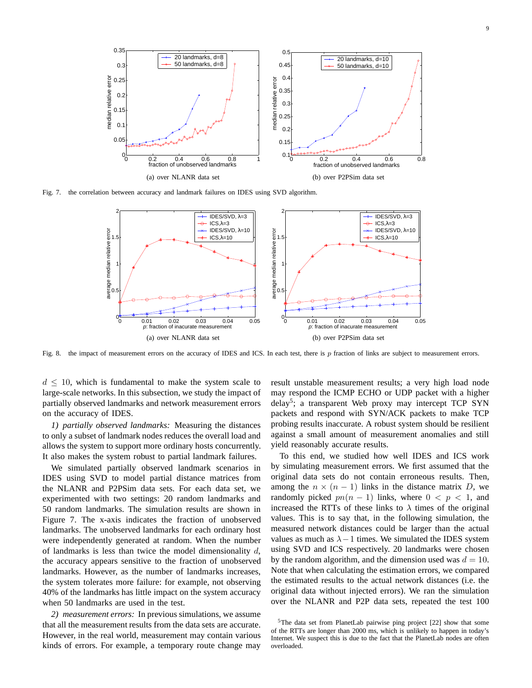

Fig. 7. the correlation between accuracy and landmark failures on IDES using SVD algorithm.



Fig. 8. the impact of measurement errors on the accuracy of IDES and ICS. In each test, there is  $p$  fraction of links are subject to measurement errors.

 $d \leq 10$ , which is fundamental to make the system scale to large-scale networks. In this subsection, we study the impact of partially observed landmarks and network measurement errors on the accuracy of IDES.

*1) partially observed landmarks:* Measuring the distances to only a subset of landmark nodes reduces the overall load and allows the system to support more ordinary hosts concurrently. It also makes the system robust to partial landmark failures.

We simulated partially observed landmark scenarios in IDES using SVD to model partial distance matrices from the NLANR and P2PSim data sets. For each data set, we experimented with two settings: 20 random landmarks and 50 random landmarks. The simulation results are shown in Figure 7. The x-axis indicates the fraction of unobserved landmarks. The unobserved landmarks for each ordinary host were independently generated at random. When the number of landmarks is less than twice the model dimensionality  $d$ , the accuracy appears sensitive to the fraction of unobserved landmarks. However, as the number of landmarks increases, the system tolerates more failure: for example, not observing 40% of the landmarks has little impact on the system accuracy when 50 landmarks are used in the test.

*2) measurement errors:* In previous simulations, we assume that all the measurement results from the data sets are accurate. However, in the real world, measurement may contain various kinds of errors. For example, a temporary route change may

result unstable measurement results; a very high load node may respond the ICMP ECHO or UDP packet with a higher delay<sup>5</sup> ; a transparent Web proxy may intercept TCP SYN packets and respond with SYN/ACK packets to make TCP probing results inaccurate. A robust system should be resilient against a small amount of measurement anomalies and still yield reasonably accurate results.

To this end, we studied how well IDES and ICS work by simulating measurement errors. We first assumed that the original data sets do not contain erroneous results. Then, among the  $n \times (n-1)$  links in the distance matrix D, we randomly picked  $pn(n-1)$  links, where  $0 \lt p \lt 1$ , and increased the RTTs of these links to  $\lambda$  times of the original values. This is to say that, in the following simulation, the measured network distances could be larger than the actual values as much as  $\lambda - 1$  times. We simulated the IDES system using SVD and ICS respectively. 20 landmarks were chosen by the random algorithm, and the dimension used was  $d = 10$ . Note that when calculating the estimation errors, we compared the estimated results to the actual network distances (i.e. the original data without injected errors). We ran the simulation over the NLANR and P2P data sets, repeated the test 100

<sup>5</sup>The data set from PlanetLab pairwise ping project [22] show that some of the RTTs are longer than 2000 ms, which is unlikely to happen in today's Internet. We suspect this is due to the fact that the PlanetLab nodes are often overloaded.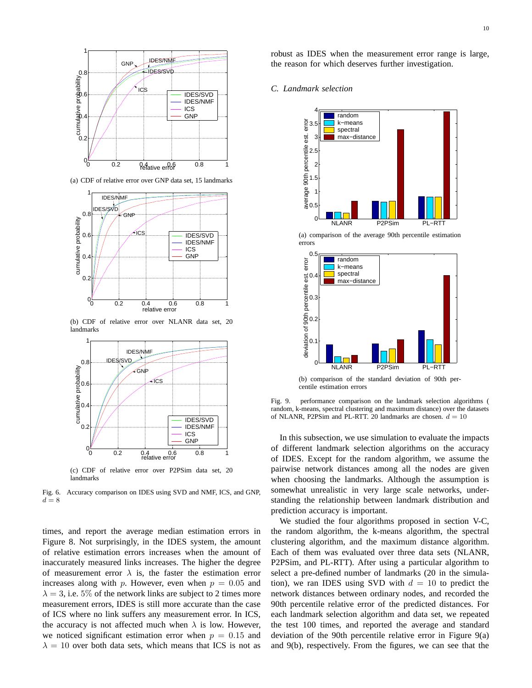

(a) CDF of relative error over GNP data set, 15 landmarks



(b) CDF of relative error over NLANR data set, 20 landmarks



(c) CDF of relative error over P2PSim data set, 20 landmarks

Fig. 6. Accuracy comparison on IDES using SVD and NMF, ICS, and GNP,  $d = 8$ 

times, and report the average median estimation errors in Figure 8. Not surprisingly, in the IDES system, the amount of relative estimation errors increases when the amount of inaccurately measured links increases. The higher the degree of measurement error  $\lambda$  is, the faster the estimation error increases along with p. However, even when  $p = 0.05$  and  $\lambda = 3$ , i.e. 5% of the network links are subject to 2 times more measurement errors, IDES is still more accurate than the case of ICS where no link suffers any measurement error. In ICS, the accuracy is not affected much when  $\lambda$  is low. However, we noticed significant estimation error when  $p = 0.15$  and  $\lambda = 10$  over both data sets, which means that ICS is not as 10

robust as IDES when the measurement error range is large, the reason for which deserves further investigation.

## *C. Landmark selection*



(a) comparison of the average 90th percentile estimation errors



(b) comparison of the standard deviation of 90th percentile estimation errors

Fig. 9. performance comparison on the landmark selection algorithms ( random, k-means, spectral clustering and maximum distance) over the datasets of NLANR, P2PSim and PL-RTT. 20 landmarks are chosen.  $d = 10$ 

In this subsection, we use simulation to evaluate the impacts of different landmark selection algorithms on the accuracy of IDES. Except for the random algorithm, we assume the pairwise network distances among all the nodes are given when choosing the landmarks. Although the assumption is somewhat unrealistic in very large scale networks, understanding the relationship between landmark distribution and prediction accuracy is important.

We studied the four algorithms proposed in section V-C, the random algorithm, the k-means algorithm, the spectral clustering algorithm, and the maximum distance algorithm. Each of them was evaluated over three data sets (NLANR, P2PSim, and PL-RTT). After using a particular algorithm to select a pre-defined number of landmarks (20 in the simulation), we ran IDES using SVD with  $d = 10$  to predict the network distances between ordinary nodes, and recorded the 90th percentile relative error of the predicted distances. For each landmark selection algorithm and data set, we repeated the test 100 times, and reported the average and standard deviation of the 90th percentile relative error in Figure 9(a) and 9(b), respectively. From the figures, we can see that the